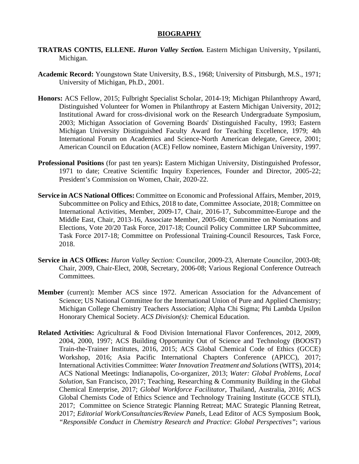#### **BIOGRAPHY**

- **TRATRAS CONTIS, ELLENE.** *Huron Valley Section.* Eastern Michigan University, Ypsilanti, Michigan.
- **Academic Record:** Youngstown State University, B.S., 1968; University of Pittsburgh, M.S., 1971; University of Michigan, Ph.D., 2001.
- **Honors:** ACS Fellow, 2015; Fulbright Specialist Scholar, 2014-19; Michigan Philanthropy Award, Distinguished Volunteer for Women in Philanthropy at Eastern Michigan University, 2012; Institutional Award for cross-divisional work on the Research Undergraduate Symposium, 2003; Michigan Association of Governing Boards' Distinguished Faculty, 1993; Eastern Michigan University Distinguished Faculty Award for Teaching Excellence, 1979; 4th International Forum on Academics and Science-North American delegate, Greece, 2001; American Council on Education (ACE) Fellow nominee, Eastern Michigan University, 1997.
- **Professional Positions** (for past ten years)**:** Eastern Michigan University, Distinguished Professor, 1971 to date; Creative Scientific Inquiry Experiences, Founder and Director, 2005-22; President's Commission on Women, Chair, 2020-22.
- **Service in ACS National Offices:** Committee on Economic and Professional Affairs, Member, 2019, Subcommittee on Policy and Ethics, 2018 to date, Committee Associate, 2018; Committee on International Activities, Member, 2009-17, Chair, 2016-17, Subcommittee-Europe and the Middle East, Chair, 2013-16, Associate Member, 2005-08; Committee on Nominations and Elections, Vote 20/20 Task Force, 2017-18; Council Policy Committee LRP Subcommittee, Task Force 2017-18; Committee on Professional Training-Council Resources, Task Force, 2018.
- **Service in ACS Offices:** *Huron Valley Section:* Councilor, 2009-23, Alternate Councilor, 2003-08; Chair, 2009, Chair-Elect, 2008, Secretary, 2006-08; Various Regional Conference Outreach Committees.
- **Member** (current)**:** Member ACS since 1972. American Association for the Advancement of Science; US National Committee for the International Union of Pure and Applied Chemistry; Michigan College Chemistry Teachers Association; Alpha Chi Sigma; Phi Lambda Upsilon Honorary Chemical Society. *ACS Division(s):* Chemical Education.
- **Related Activities:** Agricultural & Food Division International Flavor Conferences, 2012, 2009, 2004, 2000, 1997; ACS Building Opportunity Out of Science and Technology (BOOST) Train-the-Trainer Institutes, 2016, 2015; ACS Global Chemical Code of Ethics (GCCE) Workshop, 2016; Asia Pacific International Chapters Conference (APICC), 2017; International Activities Committee: *Water Innovation Treatment and Solutions*(WITS), 2014; ACS National Meetings: Indianapolis, Co-organizer, 2013; *Water: Global Problems, Local Solution,* San Francisco, 2017; Teaching, Researching & Community Building in the Global Chemical Enterprise, 2017; *Global Workforce Facilitator*, Thailand, Australia, 2016; ACS Global Chemists Code of Ethics Science and Technology Training Institute (GCCE STLI), 2017; Committee on Science Strategic Planning Retreat; MAC Strategic Planning Retreat, 2017; *Editorial Work/Consultancies/Review Panels,* Lead Editor of ACS Symposium Book, *"Responsible Conduct in Chemistry Research and Practice*: *Global Perspectives"*; various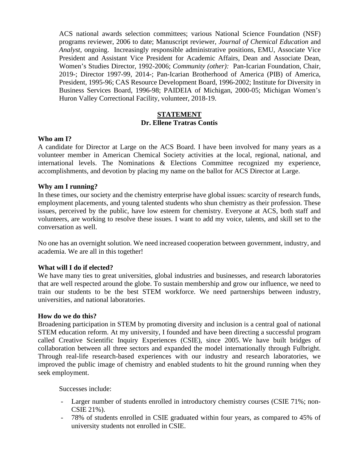ACS national awards selection committees; various National Science Foundation (NSF) programs reviewer, 2006 to date; Manuscript reviewer, *Journal of Chemical Education* and *Analyst,* ongoing. Increasingly responsible administrative positions, EMU, Associate Vice President and Assistant Vice President for Academic Affairs, Dean and Associate Dean, Women's Studies Director, 1992-2006; *Community (other):* Pan-Icarian Foundation, Chair, 2019-; Director 1997-99, 2014-; Pan-Icarian Brotherhood of America (PIB) of America, President, 1995-96; CAS Resource Development Board, 1996-2002; Institute for Diversity in Business Services Board, 1996-98; PAIDEIA of Michigan, 2000-05; Michigan Women's Huron Valley Correctional Facility, volunteer, 2018-19.

# **STATEMENT Dr. Ellene Tratras Contis**

#### **Who am I?**

A candidate for Director at Large on the ACS Board. I have been involved for many years as a volunteer member in American Chemical Society activities at the local, regional, national, and international levels. The Nominations & Elections Committee recognized my experience, accomplishments, and devotion by placing my name on the ballot for ACS Director at Large.

## **Why am I running?**

In these times, our society and the chemistry enterprise have global issues: scarcity of research funds, employment placements, and young talented students who shun chemistry as their profession. These issues, perceived by the public, have low esteem for chemistry. Everyone at ACS, both staff and volunteers, are working to resolve these issues. I want to add my voice, talents, and skill set to the conversation as well.

No one has an overnight solution. We need increased cooperation between government, industry, and academia. We are all in this together!

#### **What will I do if elected?**

We have many ties to great universities, global industries and businesses, and research laboratories that are well respected around the globe. To sustain membership and grow our influence, we need to train our students to be the best STEM workforce. We need partnerships between industry, universities, and national laboratories.

#### **How do we do this?**

Broadening participation in STEM by promoting diversity and inclusion is a central goal of national STEM education reform. At my university, I founded and have been directing a successful program called Creative Scientific Inquiry Experiences (CSIE), since 2005. We have built bridges of collaboration between all three sectors and expanded the model internationally through Fulbright. Through real-life research-based experiences with our industry and research laboratories, we improved the public image of chemistry and enabled students to hit the ground running when they seek employment.

Successes include:

- Larger number of students enrolled in introductory chemistry courses (CSIE 71%; non-CSIE 21%).
- 78% of students enrolled in CSIE graduated within four years, as compared to 45% of university students not enrolled in CSIE.